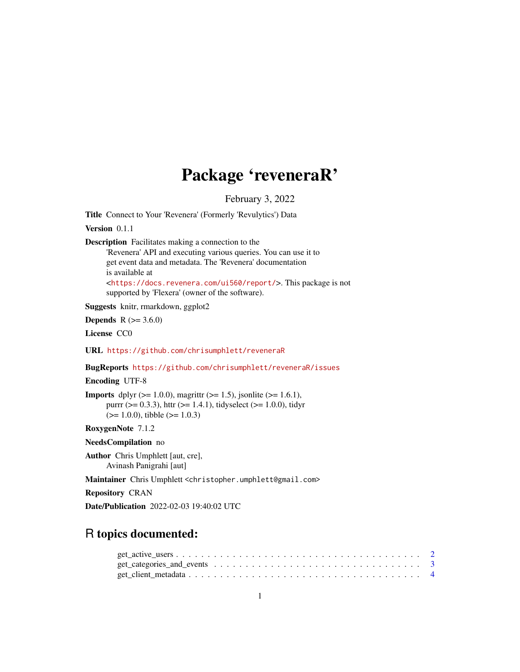## Package 'reveneraR'

February 3, 2022

Title Connect to Your 'Revenera' (Formerly 'Revulytics') Data

Version 0.1.1

Description Facilitates making a connection to the

'Revenera' API and executing various queries. You can use it to get event data and metadata. The 'Revenera' documentation is available at <<https://docs.revenera.com/ui560/report/>>. This package is not supported by 'Flexera' (owner of the software).

Suggests knitr, rmarkdown, ggplot2

**Depends**  $R (= 3.6.0)$ 

License CC0

URL <https://github.com/chrisumphlett/reveneraR>

BugReports <https://github.com/chrisumphlett/reveneraR/issues>

Encoding UTF-8

**Imports** dplyr ( $> = 1.0.0$ ), magrittr ( $> = 1.5$ ), jsonlite ( $> = 1.6.1$ ), purrr ( $> = 0.3.3$ ), httr ( $> = 1.4.1$ ), tidyselect ( $> = 1.0.0$ ), tidyr  $(>= 1.0.0)$ , tibble  $(>= 1.0.3)$ 

RoxygenNote 7.1.2

NeedsCompilation no

Author Chris Umphlett [aut, cre], Avinash Panigrahi [aut]

Maintainer Chris Umphlett <christopher.umphlett@gmail.com>

Repository CRAN

Date/Publication 2022-02-03 19:40:02 UTC

### R topics documented: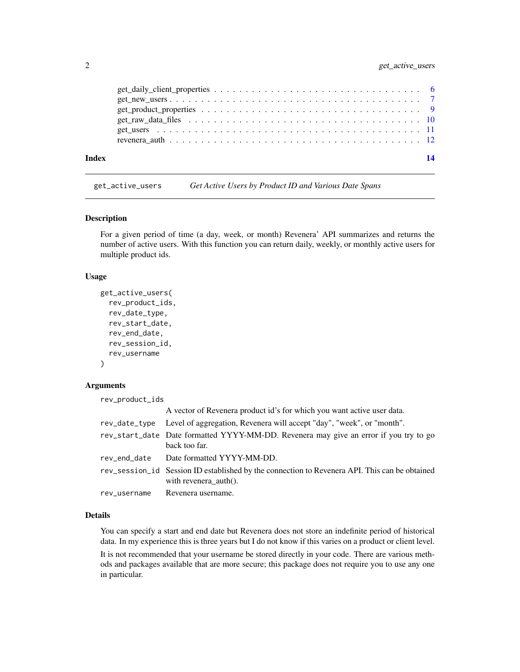<span id="page-1-0"></span>

| Index |  |
|-------|--|
|       |  |
|       |  |
|       |  |
|       |  |
|       |  |
|       |  |

get\_active\_users *Get Active Users by Product ID and Various Date Spans*

#### Description

For a given period of time (a day, week, or month) Revenera' API summarizes and returns the number of active users. With this function you can return daily, weekly, or monthly active users for multiple product ids.

#### Usage

```
get_active_users(
  rev_product_ids,
  rev_date_type,
  rev_start_date,
  rev_end_date,
  rev_session_id,
  rev_username
)
```
#### Arguments

rev\_product\_ids

|              | A vector of Revenera product id's for which you want active user data.                                                 |
|--------------|------------------------------------------------------------------------------------------------------------------------|
|              | rev_date_type Level of aggregation, Revenera will accept "day", "week", or "month".                                    |
|              | rev_start_date Date formatted YYYY-MM-DD. Revenera may give an error if you try to go<br>back too far.                 |
|              | rev_end_date Date formatted YYYY-MM-DD.                                                                                |
|              | rev_session_id Session ID established by the connection to Revenera API. This can be obtained<br>with revenera auth(). |
| rev_username | Revenera username.                                                                                                     |

#### Details

You can specify a start and end date but Revenera does not store an indefinite period of historical data. In my experience this is three years but I do not know if this varies on a product or client level.

It is not recommended that your username be stored directly in your code. There are various methods and packages available that are more secure; this package does not require you to use any one in particular.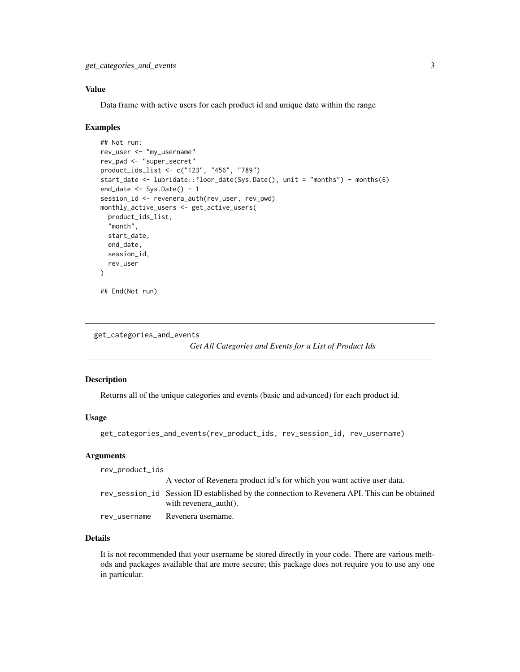#### <span id="page-2-0"></span>Value

Data frame with active users for each product id and unique date within the range

#### Examples

```
## Not run:
rev_user <- "my_username"
rev_pwd <- "super_secret"
product_ids_list <- c("123", "456", "789")
start_date <- lubridate::floor_date(Sys.Date(), unit = "months") - months(6)
end_data \leftarrow Sys.DataFrame() - 1session_id <- revenera_auth(rev_user, rev_pwd)
monthly_active_users <- get_active_users(
  product_ids_list,
  "month",
  start_date,
  end_date,
  session_id,
  rev_user
)
## End(Not run)
```
get\_categories\_and\_events

*Get All Categories and Events for a List of Product Ids*

#### Description

Returns all of the unique categories and events (basic and advanced) for each product id.

#### Usage

```
get_categories_and_events(rev_product_ids, rev_session_id, rev_username)
```
#### **Arguments**

| rev_product_ids |                                                                                                                                  |
|-----------------|----------------------------------------------------------------------------------------------------------------------------------|
|                 | A vector of Revenera product id's for which you want active user data.                                                           |
|                 | rev_session_id Session ID established by the connection to Revenera API. This can be obtained<br>with revenera $\text{auth}()$ . |
| rev_username    | Revenera username.                                                                                                               |

#### Details

It is not recommended that your username be stored directly in your code. There are various methods and packages available that are more secure; this package does not require you to use any one in particular.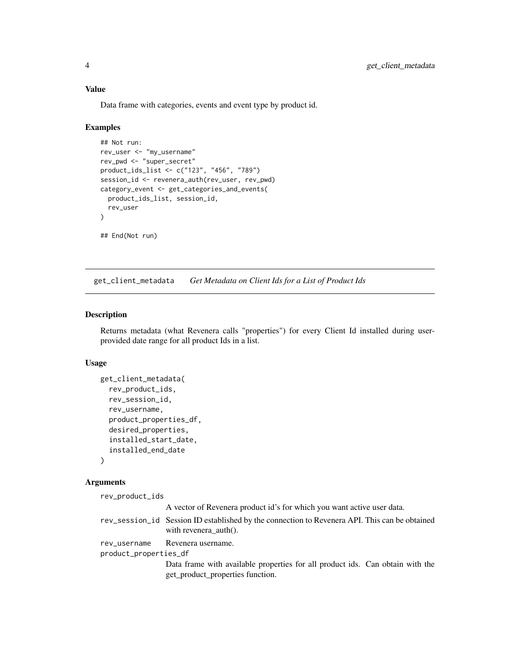#### Value

Data frame with categories, events and event type by product id.

#### Examples

```
## Not run:
rev_user <- "my_username"
rev_pwd <- "super_secret"
product_ids_list <- c("123", "456", "789")
session_id <- revenera_auth(rev_user, rev_pwd)
category_event <- get_categories_and_events(
  product_ids_list, session_id,
  rev_user
)
## End(Not run)
```
get\_client\_metadata *Get Metadata on Client Ids for a List of Product Ids*

#### Description

Returns metadata (what Revenera calls "properties") for every Client Id installed during userprovided date range for all product Ids in a list.

#### Usage

```
get_client_metadata(
  rev_product_ids,
  rev_session_id,
  rev_username,
  product_properties_df,
  desired_properties,
  installed_start_date,
  installed_end_date
\lambda
```
#### **Arguments**

rev\_product\_ids A vector of Revenera product id's for which you want active user data. rev\_session\_id Session ID established by the connection to Revenera API. This can be obtained with revenera\_auth(). rev\_username Revenera username. product\_properties\_df Data frame with available properties for all product ids. Can obtain with the get\_product\_properties function.

<span id="page-3-0"></span>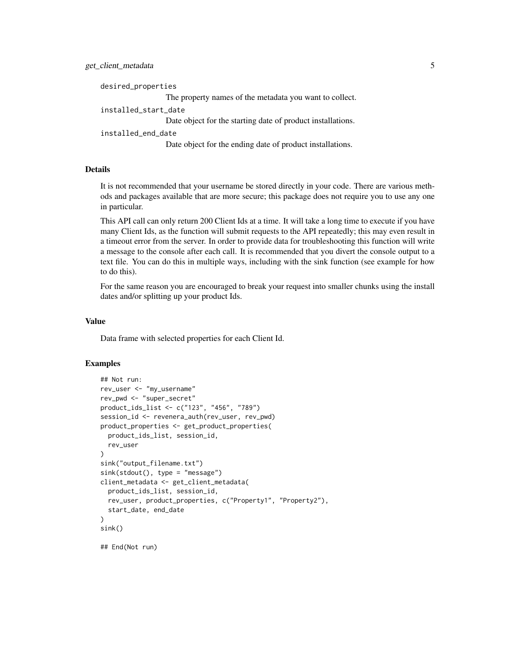desired\_properties The property names of the metadata you want to collect. installed\_start\_date Date object for the starting date of product installations. installed\_end\_date Date object for the ending date of product installations.

#### Details

It is not recommended that your username be stored directly in your code. There are various methods and packages available that are more secure; this package does not require you to use any one in particular.

This API call can only return 200 Client Ids at a time. It will take a long time to execute if you have many Client Ids, as the function will submit requests to the API repeatedly; this may even result in a timeout error from the server. In order to provide data for troubleshooting this function will write a message to the console after each call. It is recommended that you divert the console output to a text file. You can do this in multiple ways, including with the sink function (see example for how to do this).

For the same reason you are encouraged to break your request into smaller chunks using the install dates and/or splitting up your product Ids.

#### Value

Data frame with selected properties for each Client Id.

```
## Not run:
rev_user <- "my_username"
rev_pwd <- "super_secret"
product_ids_list <- c("123", "456", "789")
session_id <- revenera_auth(rev_user, rev_pwd)
product_properties <- get_product_properties(
  product_ids_list, session_id,
  rev_user
)
sink("output_filename.txt")
sink(stdout(), type = "message")
client_metadata <- get_client_metadata(
  product_ids_list, session_id,
  rev_user, product_properties, c("Property1", "Property2"),
  start_date, end_date
)
sink()
## End(Not run)
```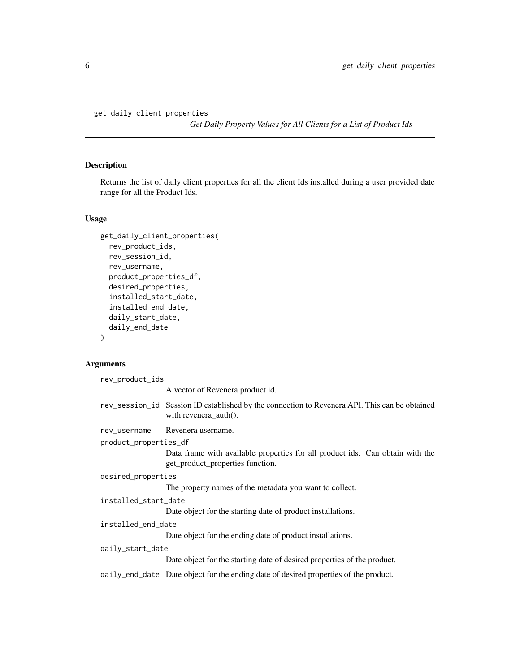```
get_daily_client_properties
```
*Get Daily Property Values for All Clients for a List of Product Ids*

#### Description

Returns the list of daily client properties for all the client Ids installed during a user provided date range for all the Product Ids.

#### Usage

```
get_daily_client_properties(
  rev_product_ids,
 rev_session_id,
  rev_username,
  product_properties_df,
  desired_properties,
  installed_start_date,
  installed_end_date,
  daily_start_date,
  daily_end_date
)
```
#### Arguments

| rev_product_ids       |                                                                                                                                  |
|-----------------------|----------------------------------------------------------------------------------------------------------------------------------|
|                       | A vector of Revenera product id.                                                                                                 |
|                       | rev_session_id Session ID established by the connection to Revenera API. This can be obtained<br>with revenera $\text{auth}()$ . |
| rev_username          | Revenera username.                                                                                                               |
| product_properties_df |                                                                                                                                  |
|                       | Data frame with available properties for all product ids. Can obtain with the<br>get_product_properties function.                |
| desired_properties    |                                                                                                                                  |
|                       | The property names of the metadata you want to collect.                                                                          |
| installed_start_date  |                                                                                                                                  |
|                       | Date object for the starting date of product installations.                                                                      |
| installed_end_date    |                                                                                                                                  |
|                       | Date object for the ending date of product installations.                                                                        |
| daily_start_date      |                                                                                                                                  |
|                       | Date object for the starting date of desired properties of the product.                                                          |
|                       | daily_end_date Date object for the ending date of desired properties of the product.                                             |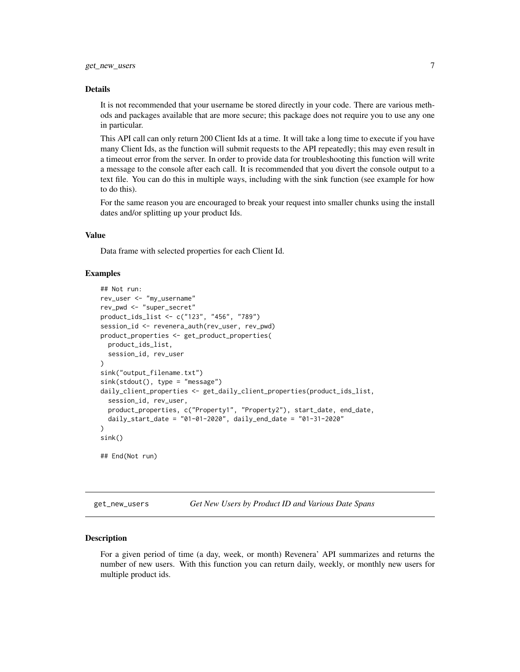#### <span id="page-6-0"></span>Details

It is not recommended that your username be stored directly in your code. There are various methods and packages available that are more secure; this package does not require you to use any one in particular.

This API call can only return 200 Client Ids at a time. It will take a long time to execute if you have many Client Ids, as the function will submit requests to the API repeatedly; this may even result in a timeout error from the server. In order to provide data for troubleshooting this function will write a message to the console after each call. It is recommended that you divert the console output to a text file. You can do this in multiple ways, including with the sink function (see example for how to do this).

For the same reason you are encouraged to break your request into smaller chunks using the install dates and/or splitting up your product Ids.

#### Value

Data frame with selected properties for each Client Id.

#### Examples

```
## Not run:
rev_user <- "my_username"
rev_pwd <- "super_secret"
product_ids_list <- c("123", "456", "789")
session_id <- revenera_auth(rev_user, rev_pwd)
product_properties <- get_product_properties(
 product_ids_list,
 session_id, rev_user
)
sink("output_filename.txt")
sink(stdout(), type = "message")
daily_client_properties <- get_daily_client_properties(product_ids_list,
 session_id, rev_user,
 product_properties, c("Property1", "Property2"), start_date, end_date,
 daily_start_date = "01-01-2020", daily_end_date = "01-31-2020"
\mathcal{L}sink()
## End(Not run)
```
get\_new\_users *Get New Users by Product ID and Various Date Spans*

#### Description

For a given period of time (a day, week, or month) Revenera' API summarizes and returns the number of new users. With this function you can return daily, weekly, or monthly new users for multiple product ids.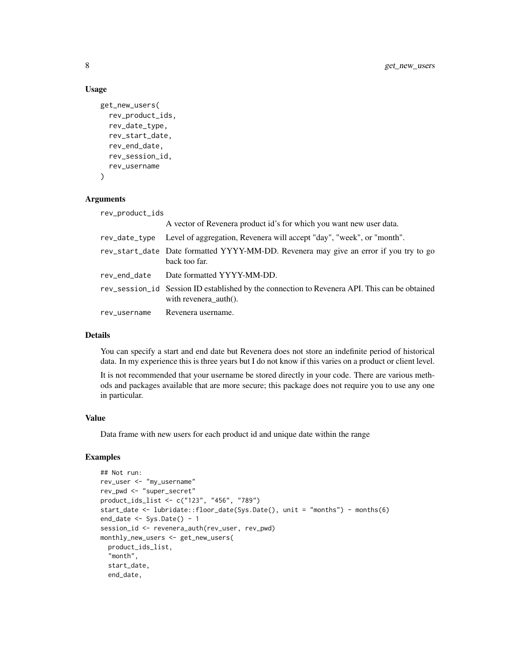#### Usage

```
get_new_users(
 rev_product_ids,
  rev_date_type,
 rev_start_date,
  rev_end_date,
  rev_session_id,
 rev_username
)
```
#### Arguments

| rev_product_ids |                                                                                                                                  |
|-----------------|----------------------------------------------------------------------------------------------------------------------------------|
|                 | A vector of Revenera product id's for which you want new user data.                                                              |
|                 | rev_date_type Level of aggregation, Revenera will accept "day", "week", or "month".                                              |
|                 | rev_start_date Date formatted YYYY-MM-DD. Revenera may give an error if you try to go<br>back too far.                           |
|                 | rev_end_date Date formatted YYYY-MM-DD.                                                                                          |
|                 | rev_session_id Session ID established by the connection to Revenera API. This can be obtained<br>with revenera $\text{auth}()$ . |
| rev_username    | Revenera username.                                                                                                               |

#### Details

You can specify a start and end date but Revenera does not store an indefinite period of historical data. In my experience this is three years but I do not know if this varies on a product or client level.

It is not recommended that your username be stored directly in your code. There are various methods and packages available that are more secure; this package does not require you to use any one in particular.

#### Value

Data frame with new users for each product id and unique date within the range

```
## Not run:
rev_user <- "my_username"
rev_pwd <- "super_secret"
product_ids_list <- c("123", "456", "789")
start_date <- lubridate::floor_date(Sys.Date(), unit = "months") - months(6)
end_date \leq Sys.Date() - 1
session_id <- revenera_auth(rev_user, rev_pwd)
monthly_new_users <- get_new_users(
  product_ids_list,
  "month",
  start_date,
  end_date,
```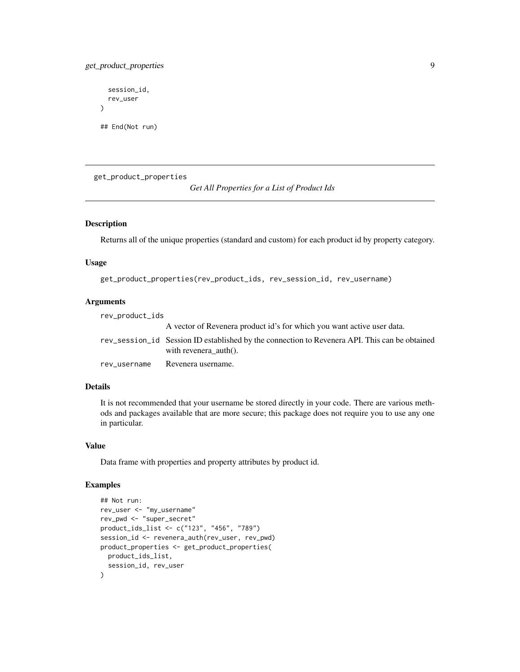#### <span id="page-8-0"></span>get\_product\_properties 9

```
session_id,
 rev_user
)
## End(Not run)
```
get\_product\_properties

```
Get All Properties for a List of Product Ids
```
#### Description

Returns all of the unique properties (standard and custom) for each product id by property category.

#### Usage

get\_product\_properties(rev\_product\_ids, rev\_session\_id, rev\_username)

#### Arguments

| rev_product_ids |                                                                                                                                  |
|-----------------|----------------------------------------------------------------------------------------------------------------------------------|
|                 | A vector of Revenera product id's for which you want active user data.                                                           |
|                 | rev_session_id Session ID established by the connection to Revenera API. This can be obtained<br>with revenera $\text{auth}()$ . |
| rev username    | Revenera username.                                                                                                               |

#### Details

It is not recommended that your username be stored directly in your code. There are various methods and packages available that are more secure; this package does not require you to use any one in particular.

#### Value

Data frame with properties and property attributes by product id.

```
## Not run:
rev_user <- "my_username"
rev_pwd <- "super_secret"
product_ids_list <- c("123", "456", "789")
session_id <- revenera_auth(rev_user, rev_pwd)
product_properties <- get_product_properties(
 product_ids_list,
  session_id, rev_user
)
```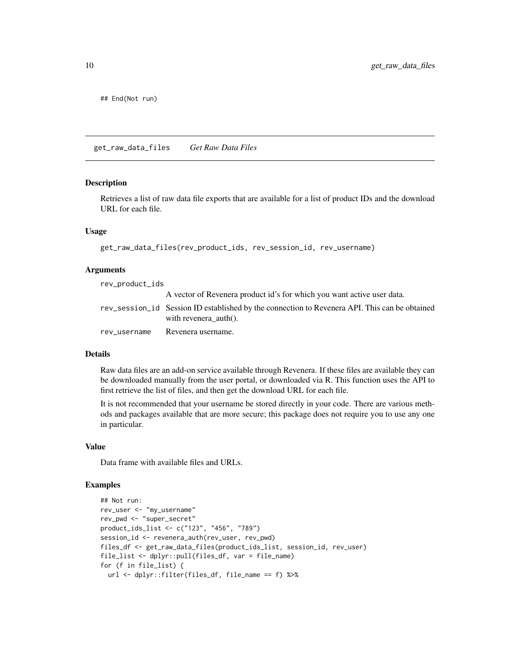<span id="page-9-0"></span>## End(Not run)

get\_raw\_data\_files *Get Raw Data Files*

#### Description

Retrieves a list of raw data file exports that are available for a list of product IDs and the download URL for each file.

#### Usage

```
get_raw_data_files(rev_product_ids, rev_session_id, rev_username)
```
#### Arguments

rev\_product\_ids

|              | A vector of Revenera product id's for which you want active user data.                        |
|--------------|-----------------------------------------------------------------------------------------------|
|              | rev_session_id Session ID established by the connection to Revenera API. This can be obtained |
|              | with revenera $\text{auth}()$ .                                                               |
| rev username | Revenera username.                                                                            |

#### Details

Raw data files are an add-on service available through Revenera. If these files are available they can be downloaded manually from the user portal, or downloaded via R. This function uses the API to first retrieve the list of files, and then get the download URL for each file.

It is not recommended that your username be stored directly in your code. There are various methods and packages available that are more secure; this package does not require you to use any one in particular.

#### Value

Data frame with available files and URLs.

```
## Not run:
rev_user <- "my_username"
rev_pwd <- "super_secret"
product_ids_list <- c("123", "456", "789")
session_id <- revenera_auth(rev_user, rev_pwd)
files_df <- get_raw_data_files(product_ids_list, session_id, rev_user)
file_list <- dplyr::pull(files_df, var = file_name)
for (f in file_list) {
 url <- dplyr::filter(files_df, file_name == f) %>%
```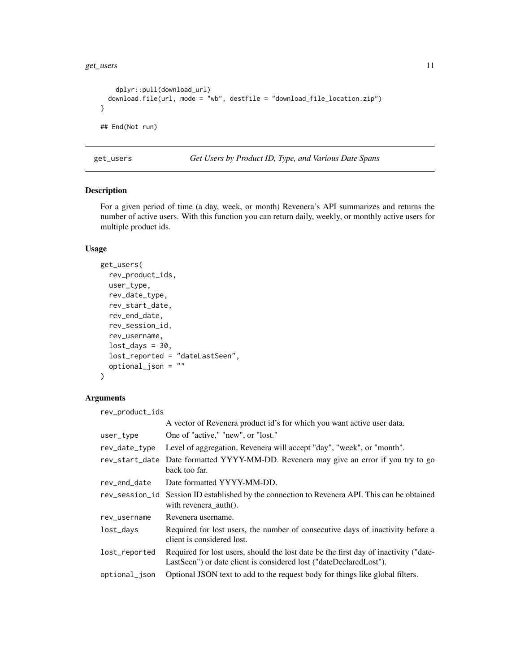<span id="page-10-0"></span>get\_users 11

```
dplyr::pull(download_url)
 download.file(url, mode = "wb", destfile = "download_file_location.zip")
}
## End(Not run)
```
get\_users *Get Users by Product ID, Type, and Various Date Spans*

#### Description

For a given period of time (a day, week, or month) Revenera's API summarizes and returns the number of active users. With this function you can return daily, weekly, or monthly active users for multiple product ids.

#### Usage

```
get_users(
  rev_product_ids,
 user_type,
  rev_date_type,
  rev_start_date,
  rev_end_date,
  rev_session_id,
  rev_username,
  lost\_days = 30,lost_reported = "dateLastSeen",
  optional_json = ""
\lambda
```
#### Arguments

rev\_product\_ids

|                | A vector of Revenera product id's for which you want active user data.                                                                                     |
|----------------|------------------------------------------------------------------------------------------------------------------------------------------------------------|
| user_type      | One of "active," "new", or "lost."                                                                                                                         |
| rev_date_type  | Level of aggregation, Revenera will accept "day", "week", or "month".                                                                                      |
| rev_start_date | Date formatted YYYY-MM-DD. Revenera may give an error if you try to go<br>back too far.                                                                    |
| rev_end_date   | Date formatted YYYY-MM-DD.                                                                                                                                 |
|                | rev_session_id Session ID established by the connection to Revenera API. This can be obtained<br>with revenera_auth $()$ .                                 |
| rev_username   | Revenera username.                                                                                                                                         |
| lost_days      | Required for lost users, the number of consecutive days of inactivity before a<br>client is considered lost.                                               |
| lost_reported  | Required for lost users, should the lost date be the first day of inactivity ("date-<br>LastSeen") or date client is considered lost ("dateDeclaredLost"). |
| optional_json  | Optional JSON text to add to the request body for things like global filters.                                                                              |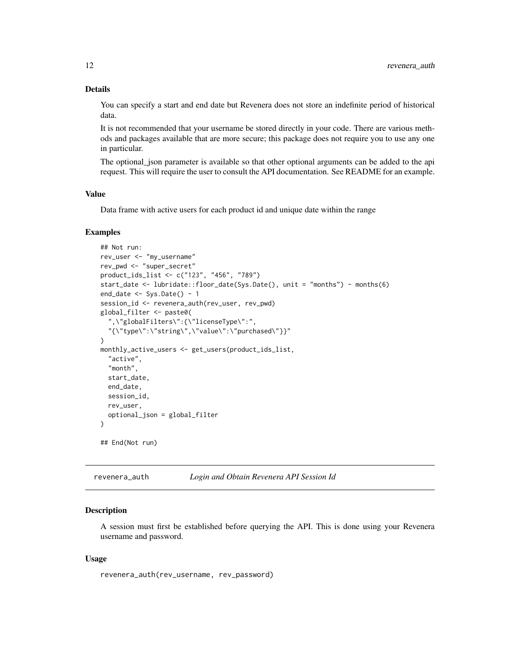#### <span id="page-11-0"></span>Details

You can specify a start and end date but Revenera does not store an indefinite period of historical data.

It is not recommended that your username be stored directly in your code. There are various methods and packages available that are more secure; this package does not require you to use any one in particular.

The optional\_json parameter is available so that other optional arguments can be added to the api request. This will require the user to consult the API documentation. See README for an example.

#### Value

Data frame with active users for each product id and unique date within the range

#### Examples

```
## Not run:
rev_user <- "my_username"
rev_pwd <- "super_secret"
product_ids_list <- c("123", "456", "789")
start_date <- lubridate::floor_date(Sys.Date(), unit = "months") - months(6)
end\_date \leftarrow Sys.DataFrame() - 1session_id <- revenera_auth(rev_user, rev_pwd)
global_filter <- paste0(
  ",\"globalFilters\":{\"licenseType\":",
  "{\"type\":\"string\",\"value\":\"purchased\"}}"
)
monthly_active_users <- get_users(product_ids_list,
  "active",
  "month",
  start_date,
  end_date,
  session_id,
  rev_user,
  optional_json = global_filter
\mathcal{L}## End(Not run)
```
revenera\_auth *Login and Obtain Revenera API Session Id*

#### Description

A session must first be established before querying the API. This is done using your Revenera username and password.

#### Usage

revenera\_auth(rev\_username, rev\_password)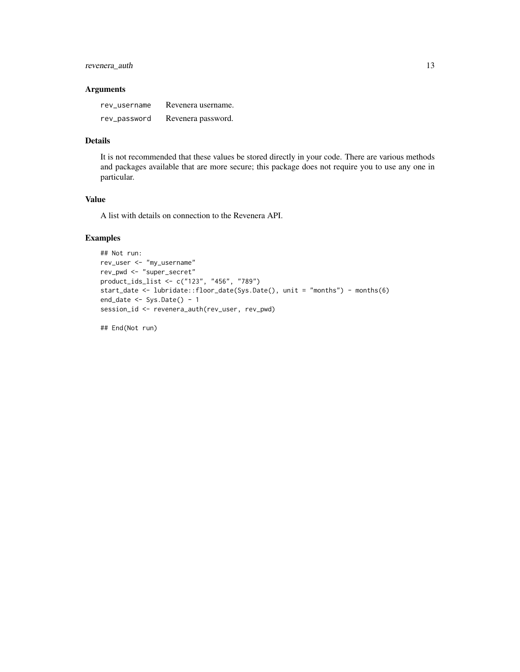#### revenera\_auth 13

#### Arguments

| rev username | Revenera username. |
|--------------|--------------------|
| rev_password | Revenera password. |

#### Details

It is not recommended that these values be stored directly in your code. There are various methods and packages available that are more secure; this package does not require you to use any one in particular.

#### Value

A list with details on connection to the Revenera API.

#### Examples

```
## Not run:
rev_user <- "my_username"
rev_pwd <- "super_secret"
product_ids_list <- c("123", "456", "789")
start_date <- lubridate::floor_date(Sys.Date(), unit = "months") - months(6)
end_data \leftarrow Sys.DataFrame() - 1session_id <- revenera_auth(rev_user, rev_pwd)
```
## End(Not run)